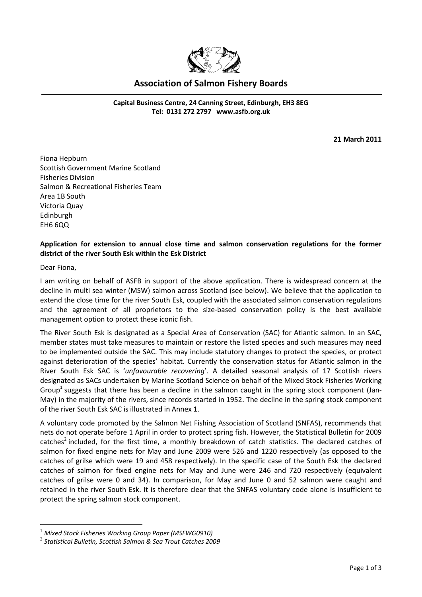

## **Association of Salmon Fishery Boards**

**Capital Business Centre, 24 Canning Street, Edinburgh, EH3 8EG Tel: 0131 272 2797 [www.asfb.org.uk](http://www.asfb.org.uk/)**

**21 March 2011**

Fiona Hepburn Scottish Government Marine Scotland Fisheries Division Salmon & Recreational Fisheries Team Area 1B South Victoria Quay Edinburgh EH6 6QQ

## **Application for extension to annual close time and salmon conservation regulations for the former district of the river South Esk within the Esk District**

Dear Fiona,

<u>.</u>

I am writing on behalf of ASFB in support of the above application. There is widespread concern at the decline in multi sea winter (MSW) salmon across Scotland (see below). We believe that the application to extend the close time for the river South Esk, coupled with the associated salmon conservation regulations and the agreement of all proprietors to the size-based conservation policy is the best available management option to protect these iconic fish.

The River South Esk is designated as a Special Area of Conservation (SAC) for Atlantic salmon. In an SAC, member states must take measures to maintain or restore the listed species and such measures may need to be implemented outside the SAC. This may include statutory changes to protect the species, or protect against deterioration of the species' habitat. Currently the conservation status for Atlantic salmon in the River South Esk SAC is '*unfavourable recovering*'. A detailed seasonal analysis of 17 Scottish rivers designated as SACs undertaken by Marine Scotland Science on behalf of the Mixed Stock Fisheries Working Group<sup>1</sup> suggests that there has been a decline in the salmon caught in the spring stock component (Jan-May) in the majority of the rivers, since records started in 1952. The decline in the spring stock component of the river South Esk SAC is illustrated in Annex 1.

A voluntary code promoted by the Salmon Net Fishing Association of Scotland (SNFAS), recommends that nets do not operate before 1 April in order to protect spring fish. However, the Statistical Bulletin for 2009 catches<sup>2</sup> included, for the first time, a monthly breakdown of catch statistics. The declared catches of salmon for fixed engine nets for May and June 2009 were 526 and 1220 respectively (as opposed to the catches of grilse which were 19 and 458 respectively). In the specific case of the South Esk the declared catches of salmon for fixed engine nets for May and June were 246 and 720 respectively (equivalent catches of grilse were 0 and 34). In comparison, for May and June 0 and 52 salmon were caught and retained in the river South Esk. It is therefore clear that the SNFAS voluntary code alone is insufficient to protect the spring salmon stock component.

<sup>1</sup> *Mixed Stock Fisheries Working Group Paper (MSFWG0910)*

<sup>2</sup> *Statistical Bulletin, Scottish Salmon & Sea Trout Catches 2009*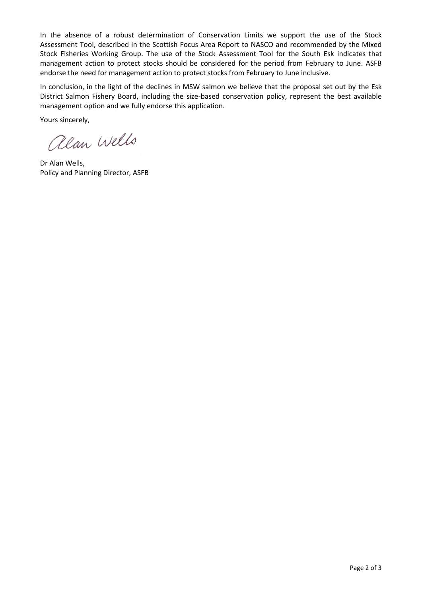In the absence of a robust determination of Conservation Limits we support the use of the Stock Assessment Tool, described in the Scottish Focus Area Report to NASCO and recommended by the Mixed Stock Fisheries Working Group. The use of the Stock Assessment Tool for the South Esk indicates that management action to protect stocks should be considered for the period from February to June. ASFB endorse the need for management action to protect stocks from February to June inclusive.

In conclusion, in the light of the declines in MSW salmon we believe that the proposal set out by the Esk District Salmon Fishery Board, including the size-based conservation policy, represent the best available management option and we fully endorse this application.

Yours sincerely,

alan Wells

Dr Alan Wells, Policy and Planning Director, ASFB